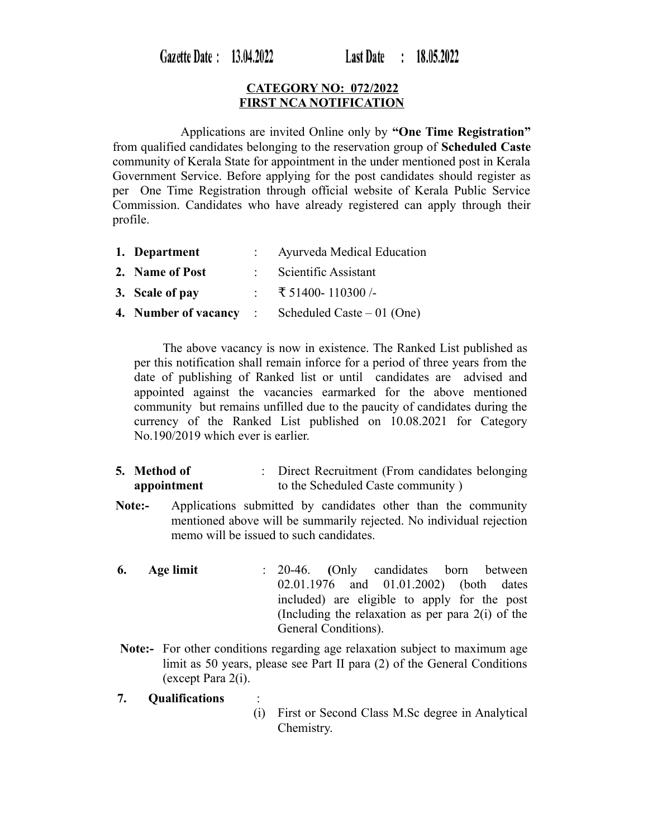Gazette Date: 13.04.2022

**Last Date**  $: 18.05.2022$ 

## **CATEGORY NO: 072/2022 FIRST NCA NOTIFICATION**

 Applications are invited Online only by **"One Time Registration"** from qualified candidates belonging to the reservation group of **Scheduled Caste** community of Kerala State for appointment in the under mentioned post in Kerala Government Service. Before applying for the post candidates should register as per One Time Registration through official website of Kerala Public Service Commission. Candidates who have already registered can apply through their profile.

| 1. Department        | Ayurveda Medical Education  |
|----------------------|-----------------------------|
| 2. Name of Post      | Scientific Assistant        |
| 3. Scale of pay      | ₹ 51400-110300/-            |
| 4. Number of vacancy | Scheduled Caste $-01$ (One) |

 The above vacancy is now in existence. The Ranked List published as per this notification shall remain inforce for a period of three years from the date of publishing of Ranked list or until candidates are advised and appointed against the vacancies earmarked for the above mentioned community but remains unfilled due to the paucity of candidates during the currency of the Ranked List published on 10.08.2021 for Category No.190/2019 which ever is earlier.

- **5. Method of appointment** : Direct Recruitment (From candidates belonging to the Scheduled Caste community )
- **Note:-** Applications submitted by candidates other than the community mentioned above will be summarily rejected. No individual rejection memo will be issued to such candidates.
- **6. Age limit** : 20-46. **(**Only candidates born between 02.01.1976 and 01.01.2002) (both dates included) are eligible to apply for the post (Including the relaxation as per para 2(i) of the General Conditions).
- **Note:-** For other conditions regarding age relaxation subject to maximum age limit as 50 years, please see Part II para (2) of the General Conditions (except Para 2(i).
- **7. Qualifications** :
	- (i) First or Second Class M.Sc degree in Analytical Chemistry.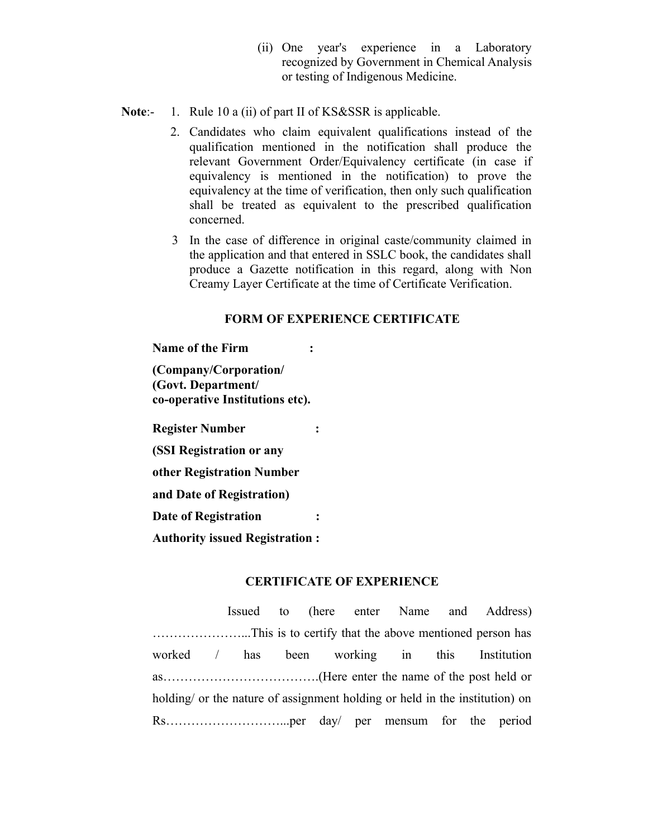- (ii) One year's experience in a Laboratory recognized by Government in Chemical Analysis or testing of Indigenous Medicine.
- **Note:-** 1. Rule 10 a (ii) of part II of KS&SSR is applicable.
	- 2. Candidates who claim equivalent qualifications instead of the qualification mentioned in the notification shall produce the relevant Government Order/Equivalency certificate (in case if equivalency is mentioned in the notification) to prove the equivalency at the time of verification, then only such qualification shall be treated as equivalent to the prescribed qualification concerned.
	- 3 In the case of difference in original caste/community claimed in the application and that entered in SSLC book, the candidates shall produce a Gazette notification in this regard, along with Non Creamy Layer Certificate at the time of Certificate Verification.

### **FORM OF EXPERIENCE CERTIFICATE**

**Name of the Firm :**

**(Company/Corporation/ (Govt. Department/ co-operative Institutions etc).**

**Register Number :**

**(SSI Registration or any** 

**other Registration Number** 

**and Date of Registration)**

**Date of Registration :**

**Authority issued Registration :**

# **CERTIFICATE OF EXPERIENCE**

Issued to (here enter Name and Address) …………………...This is to certify that the above mentioned person has worked / has been working in this Institution as……………………………….(Here enter the name of the post held or holding/ or the nature of assignment holding or held in the institution) on Rs………………………...per day/ per mensum for the period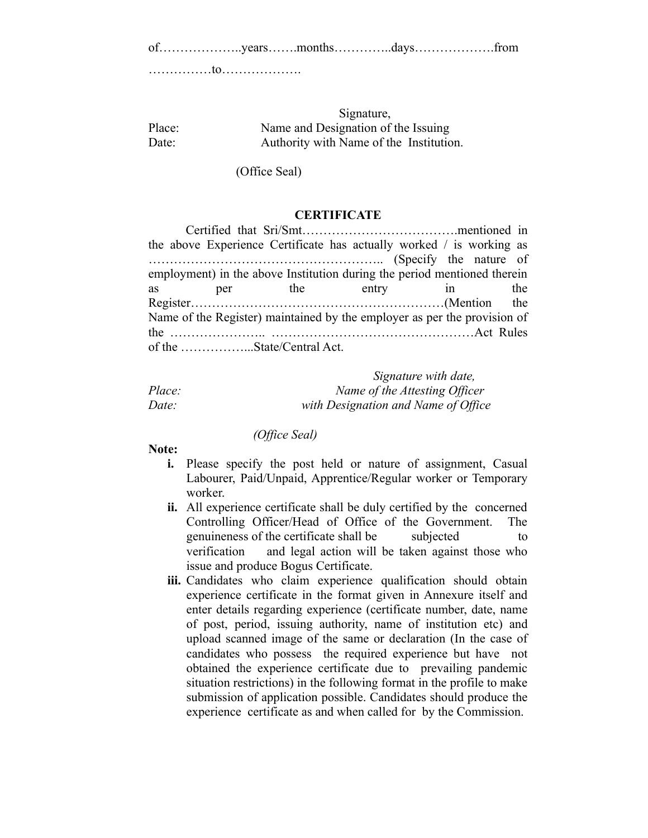of………………..years…….months…………..days……………….from

……………to……………….

# Signature, Place: Name and Designation of the Issuing Date: Authority with Name of the Institution.

(Office Seal)

### **CERTIFICATE**

|                                                                          | the above Experience Certificate has actually worked / is working as |  |  |  |  |     |  |
|--------------------------------------------------------------------------|----------------------------------------------------------------------|--|--|--|--|-----|--|
|                                                                          |                                                                      |  |  |  |  |     |  |
| employment) in the above Institution during the period mentioned therein |                                                                      |  |  |  |  |     |  |
| as                                                                       | per the entry in                                                     |  |  |  |  | the |  |
|                                                                          |                                                                      |  |  |  |  |     |  |
| Name of the Register) maintained by the employer as per the provision of |                                                                      |  |  |  |  |     |  |
|                                                                          |                                                                      |  |  |  |  |     |  |
|                                                                          | of the State/Central Act.                                            |  |  |  |  |     |  |

|        | Signature with date,                |
|--------|-------------------------------------|
| Place: | Name of the Attesting Officer       |
| Date:  | with Designation and Name of Office |

#### *(Office Seal)*

### **Note:**

- **i.** Please specify the post held or nature of assignment, Casual Labourer, Paid/Unpaid, Apprentice/Regular worker or Temporary worker.
- **ii.** All experience certificate shall be duly certified by the concerned Controlling Officer/Head of Office of the Government. The genuineness of the certificate shall be subjected to verification and legal action will be taken against those who issue and produce Bogus Certificate.
- **iii.** Candidates who claim experience qualification should obtain experience certificate in the format given in Annexure itself and enter details regarding experience (certificate number, date, name of post, period, issuing authority, name of institution etc) and upload scanned image of the same or declaration (In the case of candidates who possess the required experience but have not obtained the experience certificate due to prevailing pandemic situation restrictions) in the following format in the profile to make submission of application possible. Candidates should produce the experience certificate as and when called for by the Commission.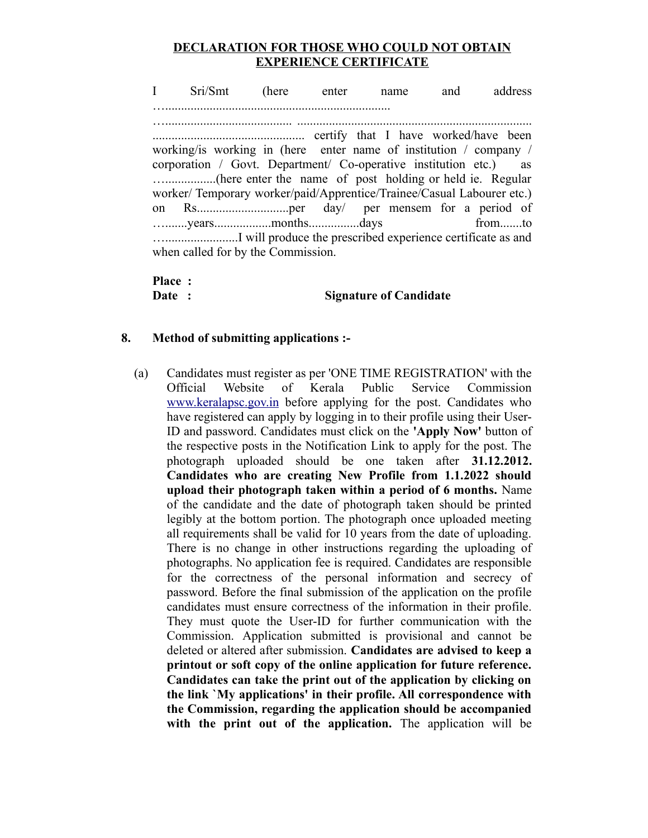## **DECLARATION FOR THOSE WHO COULD NOT OBTAIN EXPERIENCE CERTIFICATE**

I Sri/Smt (here enter name and address …....................................................................... …........................................ .......................................................................... ................................................ certify that I have worked/have been working/is working in (here enter name of institution / company / corporation / Govt. Department/ Co-operative institution etc.) as …................(here enter the name of post holding or held ie. Regular worker/ Temporary worker/paid/Apprentice/Trainee/Casual Labourer etc.) on Rs.............................per day/ per mensem for a period of ….......years..................months................days from.......to ….......................I will produce the prescribed experience certificate as and when called for by the Commission.

**Place :** 

### **Date : Signature of Candidate**

### **8. Method of submitting applications :-**

(a) Candidates must register as per 'ONE TIME REGISTRATION' with the Official Website of Kerala Public Service Commission [www.keralapsc.gov.in](http://www.kerealapsc.gov.in/) before applying for the post. Candidates who have registered can apply by logging in to their profile using their User-ID and password. Candidates must click on the **'Apply Now'** button of the respective posts in the Notification Link to apply for the post. The photograph uploaded should be one taken after **31.12.2012. Candidates who are creating New Profile from 1.1.2022 should upload their photograph taken within a period of 6 months.** Name of the candidate and the date of photograph taken should be printed legibly at the bottom portion. The photograph once uploaded meeting all requirements shall be valid for 10 years from the date of uploading. There is no change in other instructions regarding the uploading of photographs. No application fee is required. Candidates are responsible for the correctness of the personal information and secrecy of password. Before the final submission of the application on the profile candidates must ensure correctness of the information in their profile. They must quote the User-ID for further communication with the Commission. Application submitted is provisional and cannot be deleted or altered after submission. **Candidates are advised to keep a printout or soft copy of the online application for future reference. Candidates can take the print out of the application by clicking on the link `My applications' in their profile. All correspondence with the Commission, regarding the application should be accompanied with the print out of the application.** The application will be